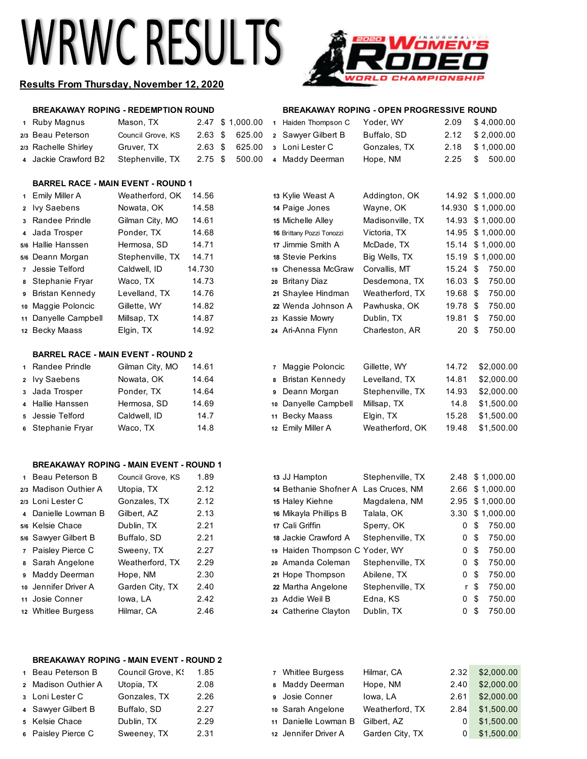# **WRWC RESULTS**



# **Results From Thursday, November 12, 2020**

# **BREAKAWAY ROPING - REDEMPTION ROUND BREAKAWAY ROPING - OPEN PROGRESSIVE ROUND**

|  | 1 Ruby Magnus        | Mason, TX         |  |  | 2.47 \$ 1,000.00 1 Haiden Thomps |
|--|----------------------|-------------------|--|--|----------------------------------|
|  | 2/3 Beau Peterson    | Council Grove, KS |  |  | 2.63 \$ 625.00 2 Sawyer Gilber   |
|  | 2/3 Rachelle Shirley | Gruver, TX        |  |  | 2.63 \$ 625.00 3 Loni Lester C   |
|  | 4 Jackie Crawford B2 | Stephenville, TX  |  |  | 2.75 \$ 500.00 4 Maddy Deerm     |

# Ruby Magnus Mason, TX 2.47 \$ 1,000.00 **1** Haiden Thompson C Yoder, WY 2.09 \$ 4,000.00

|   | 2/3 Beau Peterson                              | Council Grove, KS        | $2.63~\$$    | 625.00 | 2 Sawyer Gilbert B                            | Buffalo, SD                  | 2.12           | \$2,000.00               |
|---|------------------------------------------------|--------------------------|--------------|--------|-----------------------------------------------|------------------------------|----------------|--------------------------|
|   | 2/3 Rachelle Shirley                           | Gruver, TX               | 2.63~\$      | 625.00 | 3 Loni Lester C                               | Gonzales, TX                 | 2.18           | \$1,000.00               |
|   | 4 Jackie Crawford B2                           | Stephenville, TX         | $2.75$ \$    | 500.00 | 4 Maddy Deerman                               | Hope, NM                     | 2.25           | \$<br>500.00             |
|   |                                                |                          |              |        |                                               |                              |                |                          |
|   | <b>BARREL RACE - MAIN EVENT - ROUND 1</b>      |                          |              |        |                                               |                              |                |                          |
|   | 1 Emily Miller A                               | Weatherford, OK          | 14.56        |        | 13 Kylie Weast A                              | Addington, OK                |                | 14.92 \$1,000.00         |
|   | 2 lvy Saebens                                  | Nowata, OK               | 14.58        |        | 14 Paige Jones                                | Wayne, OK                    |                | 14.930 \$1,000.00        |
|   | 3 Randee Prindle                               | Gilman City, MO          | 14.61        |        | 15 Michelle Alley                             | Madisonville, TX             | 14.93          | \$1,000.00               |
|   | 4 Jada Trosper                                 | Ponder, TX               | 14.68        |        | 16 Brittany Pozzi Tonozzi                     | Victoria, TX                 | 14.95          | \$1,000.00               |
|   | 5/6 Hallie Hanssen                             | Hermosa, SD              | 14.71        |        | 17 Jimmie Smith A                             | McDade, TX                   |                | 15.14 \$1,000.00         |
|   | 5/6 Deann Morgan                               | Stephenville, TX         | 14.71        |        | 18 Stevie Perkins                             | Big Wells, TX                |                | 15.19 \$1,000.00         |
|   | 7 Jessie Telford                               | Caldwell, ID             | 14.730       |        | 19 Chenessa McGraw                            | Corvallis, MT                | $15.24$ \$     | 750.00                   |
|   | 8 Stephanie Fryar                              | Waco, TX                 | 14.73        |        | 20 Britany Diaz                               | Desdemona, TX                | 16.03 \$       | 750.00                   |
|   | 9 Bristan Kennedy                              | Levelland, TX            | 14.76        |        | 21 Shaylee Hindman                            | Weatherford, TX              | 19.68 \$       | 750.00                   |
|   | 10 Maggie Poloncic                             | Gillette, WY             | 14.82        |        | 22 Wenda Johnson A                            | Pawhuska, OK                 | 19.78 \$       | 750.00                   |
|   | 11 Danyelle Campbell                           | Millsap, TX              | 14.87        |        | 23 Kassie Mowry                               | Dublin, TX                   | 19.81 \$       | 750.00                   |
|   | 12 Becky Maass                                 | Elgin, TX                | 14.92        |        | 24 Ari-Anna Flynn                             | Charleston, AR               | $20*$          | 750.00                   |
|   | <b>BARREL RACE - MAIN EVENT - ROUND 2</b>      |                          |              |        |                                               |                              |                |                          |
|   | 1 Randee Prindle                               | Gilman City, MO          | 14.61        |        | 7 Maggie Poloncic                             | Gillette, WY                 | 14.72          | \$2,000.00               |
|   | 2 Ivy Saebens                                  | Nowata, OK               | 14.64        |        | <b>Bristan Kennedy</b><br>8                   | Levelland, TX                | 14.81          | \$2,000.00               |
|   | 3 Jada Trosper                                 | Ponder, TX               | 14.64        |        | Deann Morgan<br>9                             | Stephenville, TX             | 14.93          | \$2,000.00               |
|   | 4 Hallie Hanssen                               | Hermosa, SD              | 14.69        |        | Danyelle Campbell                             |                              | 14.8           | \$1,500.00               |
|   | Jessie Telford                                 |                          |              |        | 10                                            | Millsap, TX                  |                |                          |
| 5 | 6 Stephanie Fryar                              | Caldwell, ID<br>Waco, TX | 14.7<br>14.8 |        | <b>Becky Maass</b><br>11<br>12 Emily Miller A | Elgin, TX<br>Weatherford, OK | 15.28<br>19.48 | \$1,500.00<br>\$1,500.00 |
|   |                                                |                          |              |        |                                               |                              |                |                          |
|   |                                                |                          |              |        |                                               |                              |                |                          |
|   | <b>BREAKAWAY ROPING - MAIN EVENT - ROUND 1</b> |                          |              |        |                                               |                              |                |                          |
|   | 1 Beau Peterson B                              | Council Grove, KS        | 1.89         |        | 13 JJ Hampton                                 | Stephenville, TX             | 2.48           | \$1,000.00               |
|   | 2/3 Madison Outhier A                          | Utopia, TX               | 2.12         |        | 14 Bethanie Shofner A Las Cruces, NM          |                              | 2.66           | \$1,000.00               |
|   | 2/3 Loni Lester C                              | Gonzales, TX             | 2.12         |        | 15 Haley Kiehne                               | Magdalena, NM                | 2.95           | \$1,000.00               |
|   | 4 Danielle Lowman B                            | Gilbert, AZ              | 2.13         |        | 16 Mikayla Phillips B                         | Talala, OK                   | 3.30           | \$1,000.00               |
|   | 5/6 Kelsie Chace                               | Dublin, TX               | 2.21         |        | 17 Cali Griffin                               | Sperry, OK                   | 0              | \$<br>750.00             |
|   | 5/6 Sawyer Gilbert B                           | Buffalo, SD              | 2.21         |        | 18 Jackie Crawford A                          | Stephenville, TX             | 0              | \$<br>750.00             |
|   | 7 Paisley Pierce C                             | Sweeny, TX               | 2.27         |        | 19 Haiden Thompson C Yoder, WY                |                              | 0              | \$<br>750.00             |
|   | 8 Sarah Angelone                               | Weatherford, TX          | 2.29         |        | 20 Amanda Coleman                             | Stephenville, TX             | 0              | \$<br>750.00             |
|   | 9 Maddy Deerman                                | Hope, NM                 | 2.30         |        | 21 Hope Thompson                              | Abilene, TX                  | 0              | \$<br>750.00             |
|   | 10 Jennifer Driver A                           | Garden City, TX          | 2.40         |        | 22 Martha Angelone                            | Stephenville, TX             | r.             | 750.00<br>-\$            |

 Josie Conner Iowa, LA 2.42 **<sup>23</sup>** Addie Weil B Edna, KS 0 \$ 750.00 Whitlee Burgess Hilmar, CA 2.46 **<sup>24</sup>** Catherine Clayton Dublin, TX 0 \$ 750.00

## **BREAKAWAY ROPING - MAIN EVENT - ROUND 2**

| Council Grove, K!                                                                                                         | 1.85 |
|---------------------------------------------------------------------------------------------------------------------------|------|
| Utopia, TX                                                                                                                | 2.08 |
| Gonzales, TX                                                                                                              | 2.26 |
| Buffalo, SD                                                                                                               | 2.27 |
| Dublin, TX                                                                                                                | 2.29 |
| Sweeney, TX                                                                                                               | 2.31 |
| 1 Beau Peterson B<br>2 Madison Outhier A<br>3 Loni Lester C<br>4 Sawyer Gilbert B<br>5 Kelsie Chace<br>6 Paisley Pierce C |      |

| 1 Beau Peterson B   | Council Grove, K! | 1.85 | 7 Whitlee Burgess     | Hilmar, CA      | 2.32           | \$2,000.00 |
|---------------------|-------------------|------|-----------------------|-----------------|----------------|------------|
| 2 Madison Outhier A | Utopia, TX        | 2.08 | 8 Maddy Deerman       | Hope, NM        | 2.40           | \$2,000.00 |
| з Loni Lester C     | Gonzales, TX      | 2.26 | <b>9</b> Josie Conner | Iowa, LA        | 2.61           | \$2,000.00 |
| 4 Sawyer Gilbert B  | Buffalo, SD       | 2.27 | 10 Sarah Angelone     | Weatherford, TX | 2.84           | \$1,500.00 |
| 5 Kelsie Chace      | Dublin, TX        | 2.29 | 11 Danielle Lowman B  | Gilbert, AZ     | 0              | \$1,500.00 |
| 6 Paisley Pierce C  | Sweeney, TX       | 2.31 | 12 Jennifer Driver A  | Garden City, TX | $\overline{0}$ | \$1,500.00 |
|                     |                   |      |                       |                 |                |            |